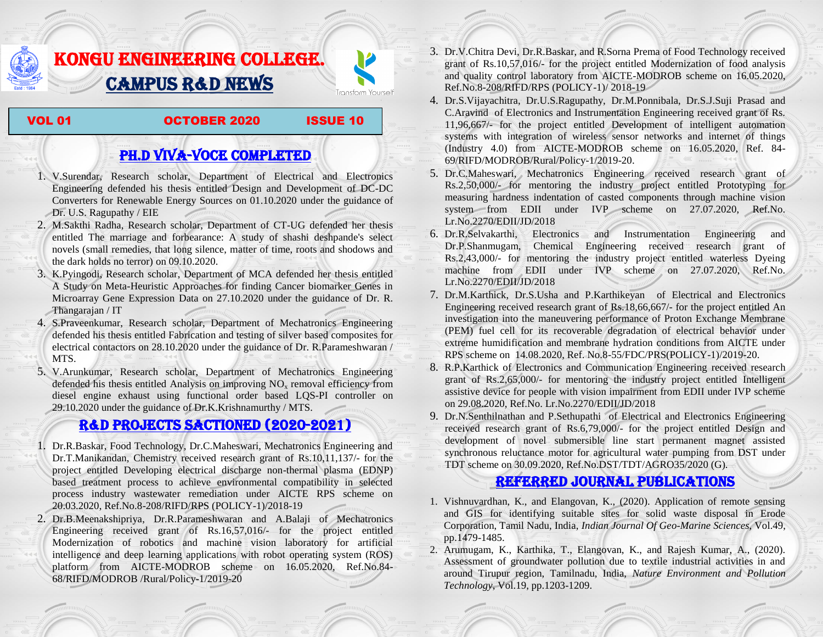## KONGU ENGINEERING COLLEGE. CAMPUS R&D NEWS

VOL 01 OCTOBER 2020 ISSUE 10

Transform Yourself

## PH.D VIVA-VOCE COMPLETED

- 1. V.Surendar, Research scholar, Department of Electrical and Electronics Engineering defended his thesis entitled Design and Development of DC-DC Converters for Renewable Energy Sources on 01.10.2020 under the guidance of Dr. U.S. Ragupathy / EIE
- 2. M.Sakthi Radha, Research scholar, Department of CT-UG defended her thesis entitled The marriage and forbearance: A study of shashi deshpande's select novels (small remedies, that long silence, matter of time, roots and shodows and the dark holds no terror) on 09.10.2020.
- 3. K.Pyingodi, Research scholar, Department of MCA defended her thesis entitled A Study on Meta-Heuristic Approaches for finding Cancer biomarker Genes in Microarray Gene Expression Data on 27.10.2020 under the guidance of Dr. R. Thangarajan / IT
- 4. S.Praveenkumar, Research scholar, Department of Mechatronics Engineering defended his thesis entitled Fabrication and testing of silver based composites for electrical contactors on 28.10.2020 under the guidance of Dr. R.Parameshwaran / MTS.
- 5. V.Arunkumar, Research scholar, Department of Mechatronics Engineering defended his thesis entitled Analysis on improving  $NO<sub>x</sub>$  removal efficiency from diesel engine exhaust using functional order based LQS-PI controller on 29.10.2020 under the guidance of Dr.K.Krishnamurthy / MTS.

## R&D PROJECTS SACTIONED (2020-2021)

- 1. Dr.R.Baskar, Food Technology, Dr.C.Maheswari, Mechatronics Engineering and Dr.T.Manikandan, Chemistry received research grant of Rs.10,11,137/- for the project entitled Developing electrical discharge non-thermal plasma (EDNP) based treatment process to achieve environmental compatibility in selected process industry wastewater remediation under AICTE RPS scheme on 20.03.2020, Ref.No.8-208/RIFD/RPS (POLICY-1)/2018-19
- 2. Dr.B.Meenakshipriya, Dr.R.Parameshwaran and A.Balaji of Mechatronics Engineering received grant of Rs.16,57,016/- for the project entitled Modernization [of robotics and machine vision laboratory for artificial](http://rnd.kongu.edu/ractivities/mts/data/)  [intelligence and deep learning applications with robot operating system \(ROS\)](http://rnd.kongu.edu/ractivities/mts/data/)  [platform](http://rnd.kongu.edu/ractivities/mts/data/) from AICTE-MODROB scheme on 16.05.2020, Ref.No.84- 68/RIFD/MODROB /Rural/Policy-1/2019-20
- 3. Dr.V.Chitra Devi, Dr.R.Baskar, and R.Sorna Prema of Food Technology received grant of Rs.10,57,016/- for the project entitled Modernization of food analysis and quality control laboratory from AICTE-MODROB scheme on 16.05.2020, Ref.No.8-208/RIFD/RPS (POLICY-1)/ 2018-19
- 4. Dr.S.Vijayachitra, Dr.U.S.Ragupathy, Dr.M.Ponnibala, Dr.S.J.Suji Prasad and C.Aravind of Electronics and Instrumentation Engineering received grant of Rs. 11,96,667/- for the project entitled Development of intelligent automation systems with integration of wireless sensor networks and internet of things (Industry 4.0) from AICTE-MODROB scheme on 16.05.2020, Ref. 84- 69/RIFD/MODROB/Rural/Policy-1/2019-20.
- 5. Dr.C.Maheswari, Mechatronics Engineering received research grant of Rs.2,50,000/- for mentoring the industry project entitled [Prototyping for](http://rnd.kongu.edu/ractivities/mts/data/)  [measuring hardness indentation of casted components through machine vision](http://rnd.kongu.edu/ractivities/mts/data/)  [system](http://rnd.kongu.edu/ractivities/mts/data/) from EDII under IVP scheme on 27.07.2020, Ref.No. Lr.No.2270/EDII/JD/2018
- 6. Dr.R.Selvakarthi, Electronics and Instrumentation Engineering and Dr.P.Shanmugam, Chemical Engineering received research grant of Rs.2,43,000/- for mentoring the industry project entitled waterless Dyeing machine from EDII under IVP scheme on 27.07.2020, Ref.No. Lr.No.2270/EDII/JD/2018
- 7. Dr.M.Karthick, Dr.S.Usha and P.Karthikeyan of Electrical and Electronics Engineering received research grant of Rs.18,66,667/- for the project entitled An investigation into the maneuvering performance of Proton Exchange Membrane (PEM) fuel cell for its recoverable degradation of electrical behavior under extreme humidification and membrane hydration conditions from AICTE under RPS scheme on 14.08.2020, Ref. No.8-55/FDC/PRS(POLICY-1)/2019-20.
- 8. R.P.Karthick of Electronics and Communication Engineering received research grant of Rs.2,65,000/- for mentoring the industry project entitled Intelligent assistive device for people with vision impairment from EDII under IVP scheme on 29.08.2020, Ref.No. Lr.No.2270/EDII/JD/2018
- 9. Dr.N.Senthilnathan and P.Sethupathi of Electrical and Electronics Engineering received research grant of Rs.6,79,000/- for the project entitled Design and development of novel submersible line start permanent magnet assisted synchronous reluctance motor for agricultural water pumping from DST under TDT scheme on 30.09.2020, Ref.No.DST/TDT/AGRO35/2020 (G).

## Referred JOURNAL publications

- 1. Vishnuvardhan, K., and Elangovan, K., (2020). Application of remote sensing and GIS for identifying suitable sites for solid waste disposal in Erode Corporation, Tamil Nadu, India, *Indian Journal Of Geo-Marine Sciences*, Vol.49, pp.1479-1485.
- 2. Arumugam, K., Karthika, T., Elangovan, K., and Rajesh Kumar, A., (2020). Assessment of groundwater pollution due to textile industrial activities in and around Tirupur region, Tamilnadu, India, *Nature Environment and Pollution Technology*, Vol.19, pp.1203-1209.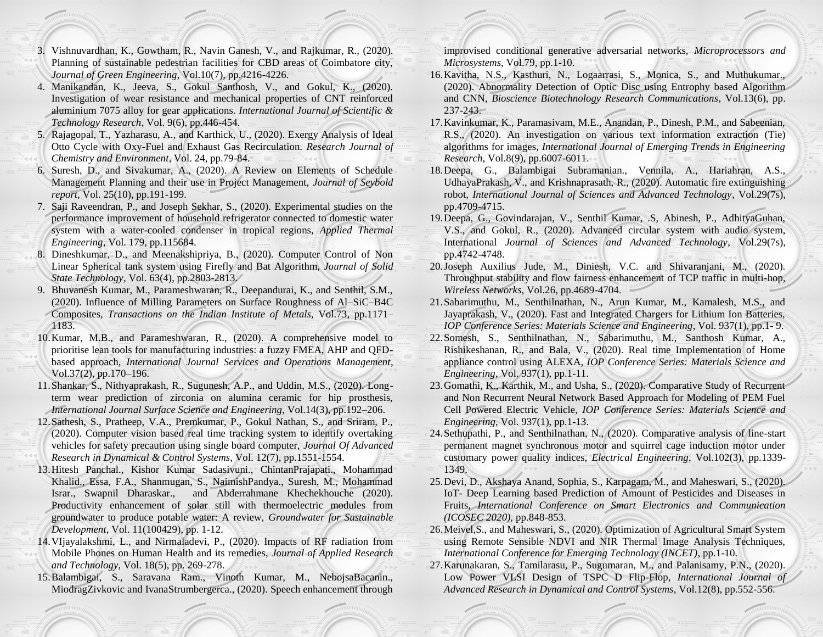- 3. Vishnuvardhan, K., Gowtham, R., Navin Ganesh, V., and Rajkumar, R., (2020). Planning of sustainable pedestrian facilities for CBD areas of Coimbatore city, *Journal of Green Engineering*, Vol.10(7), pp.4216-4226.
- 4. Manikandan, K., Jeeva, S., Gokul Santhosh, V., and Gokul, K., (2020). Investigation of wear resistance and mechanical properties of CNT reinforced aluminium 7075 alloy for gear applications*. International Journal of Scientific & Technology Research*, Vol. 9(6), pp.446-454.
- 5. Rajagopal, T., Yazharasu, A., and Karthick, U., (2020). Exergy Analysis of Ideal Otto Cycle with Oxy-Fuel and Exhaust Gas Recirculation. *Research Journal of Chemistry and Environment*, Vol. 24, pp.79-84.
- 6. Suresh, D., and Sivakumar, A., (2020). A Review on Elements of Schedule Management Planning and their use in Project Management, *Journal of Seybold report*, Vol. 25(10), pp.191-199.
- 7. Saji Raveendran, P., and Joseph Sekhar, S., (2020). Experimental studies on the performance improvement of household refrigerator connected to domestic water system with a water-cooled condenser in tropical regions, *Applied Thermal Engineering*, Vol. 179, pp.115684.
- 8. Dineshkumar, D., and Meenakshipriya, B., (2020). Computer Control of Non Linear Spherical tank system using Firefly and Bat Algorithm, *Journal of Solid State Technology*, Vol. 63(4), pp.2803-2813.
- 9. Bhuvanesh Kumar, M., Parameshwaran, R., Deepandurai, K., and Senthil, S.M., (2020). Influence of Milling Parameters on Surface Roughness of Al–SiC–B4C Composites, *Transactions on the Indian Institute of Metals*, Vol.73, pp.1171– 1183.
- 10.Kumar, M.B., and Parameshwaran, R., (2020). A comprehensive model to prioritise lean tools for manufacturing industries: a fuzzy FMEA, AHP and QFDbased approach, *International Journal Services and Operations Management*, Vol.37(2), pp.170–196.
- 11.Shankar, S., Nithyaprakash, R., Sugunesh, A.P., and Uddin, M.S., (2020). Longterm wear prediction of zirconia on alumina ceramic for hip prosthesis, *International Journal Surface Science and Engineering*, Vol.14(3), pp.192–206.
- 12.Sathesh, S., Pratheep, V.A., Premkumar, P., Gokul Nathan, S., and Sriram, P., (2020). Computer vision based real time tracking system to identify overtaking vehicles for safety precaution using single board computer, *Journal Of Advanced Research in Dynamical & Control Systems*, Vol. 12(7), pp.1551-1554.
- 13.Hitesh Panchal., Kishor Kumar Sadasivuni., ChintanPrajapati., Mohammad Khalid., Essa, F.A., Shanmugan, S., NaimishPandya., Suresh, M., Mohammad Israr., Swapnil Dharaskar., and Abderrahmane Khechekhouche (2020). Productivity enhancement of solar still with thermoelectric modules from groundwater to produce potable water: A review, *Groundwater for Sustainable Development*, Vol. 11(100429), pp. 1-12.
- 14.VIjayalakshmi, L., and Nirmaladevi, P., (2020). Impacts of RF radiation from Mobile Phones on Human Health and its remedies, *Journal of Applied Research and Technology*, Vol. 18(5), pp. 269-278.
- 15.Balambigai, S., Saravana Ram., Vinoth Kumar, M., NebojsaBacanin., MiodragZivkovic and IvanaStrumbergerca., (2020). Speech enhancement through

improvised conditional generative adversarial networks, *Microprocessors and Microsystems*, Vol.79, pp.1-10.

- 16.Kavitha, N.S., Kasthuri, N., Logaarrasi, S., Monica, S., and Muthukumar., (2020). Abnormality Detection of Optic Disc using Entrophy based Algorithm and CNN, *Bioscience Biotechnology Research Communications*, Vol.13(6), pp. 237-243.
- 17.Kavinkumar, K., Paramasivam, M.E., Anandan, P., Dinesh, P.M., and Sabeenian, R.S., (2020). An investigation on various text information extraction (Tie) algorithms for images*, International Journal of Emerging Trends in Engineering Research*, Vol.8(9), pp.6007-6011.
- 18.Deepa, G., Balambigai Subramanian., Vennila, A., Hariahran, A.S., UdhayaPrakash, V., and Krishnaprasath, R., (2020). Automatic fire extinguishing robot, *International Journal of Sciences and Advanced Technology*, Vol.29(7s), pp.4709-4715.
- 19.Deepa, G., Govindarajan, V., Senthil Kumar, .S, Abinesh, P., AdhityaGuhan, V.S., and Gokul, R., (2020). Advanced circular system with audio system, International *Journal of Sciences and Advanced Technology*, Vol.29(7s), pp.4742-4748.
- 20.Joseph Auxilius Jude, M., Diniesh, V.C. and Shivaranjani, M., (2020). Throughput stability and flow fairness enhancement of TCP traffic in multi-hop, *Wireless Networks*, Vol.26, pp.4689-4704.
- 21.Sabarimuthu, M., Senthilnathan, N., Arun Kumar, M., Kamalesh, M.S., and Jayaprakash, V., (2020). Fast and Integrated Chargers for Lithium Ion Batteries, *IOP Conference Series: Materials Science and Engineering*, Vol. 937(1), pp.1- 9.
- 22.Somesh, S., Senthilnathan, N., Sabarimuthu, M., Santhosh Kumar, A., Rishikeshanan, R., and Bala, V., (2020). Real time Implementation of Home appliance control using ALEXA, *IOP Conference Series: Materials Science and Engineering*, Vol. 937(1), pp.1-11.
- 23.Gomathi, K., Karthik, M., and Usha, S., (2020). Comparative Study of Recurrent and Non Recurrent Neural Network Based Approach for Modeling of PEM Fuel Cell Powered Electric Vehicle, *IOP Conference Series: Materials Science and Engineering*, Vol. 937(1), pp.1-13.
- 24.Sethupathi, P., and Senthilnathan, N., (2020). Comparative analysis of line-start permanent magnet synchronous motor and squirrel cage induction motor under customary power quality indices, *Electrical Engineering*, Vol.102(3), pp.1339- 1349.
- 25.Devi, D., Akshaya Anand, Sophia, S., Karpagam, M., and Maheswari, S., (2020). IoT- Deep Learning based Prediction of Amount of Pesticides and Diseases in Fruits, *International Conference on Smart Electronics and Communication (ICOSEC 2020),* pp.848-853.
- 26.Meivel,S., and Maheswari, S., (2020). Optimization of Agricultural Smart System using Remote Sensible NDVI and NIR Thermal Image Analysis Techniques, *International Conference for Emerging Technology (INCET)*, pp.1-10.
- 27.Karunakaran, S., Tamilarasu, P., Sugumaran, M., and Palanisamy, P.N., (2020). Low Power VLSI Design of TSPC D Flip-Flop, *International Journal of Advanced Research in Dynamical and Control Systems*, Vol.12(8), pp.552-556.